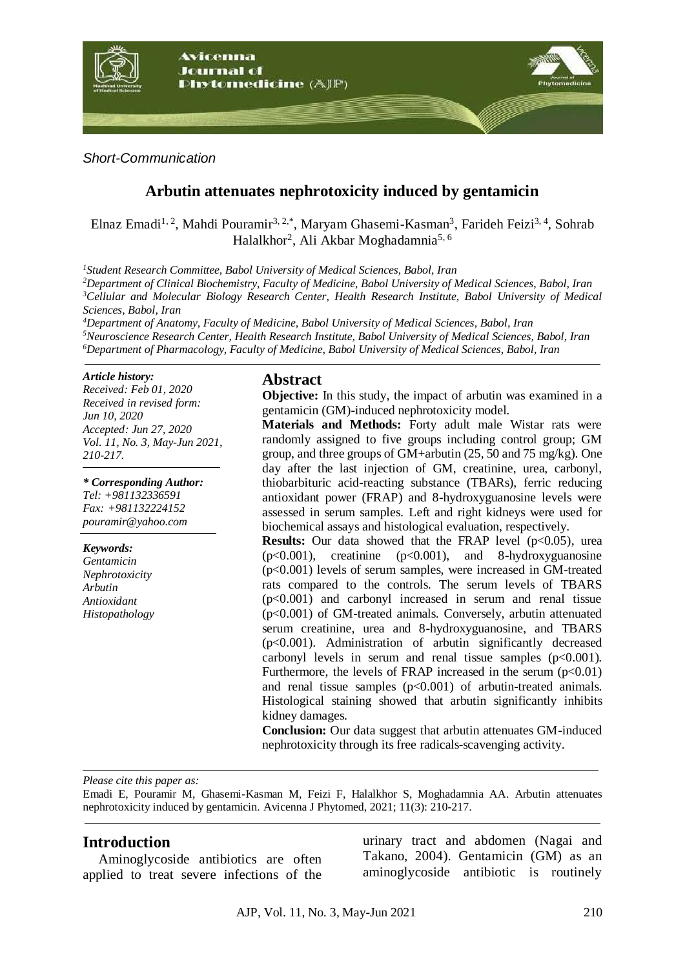

*Short-Communication*

# **Arbutin attenuates nephrotoxicity induced by gentamicin**

Elnaz Emadi<sup>1, 2</sup>, Mahdi Pouramir<sup>3, 2,\*</sup>, Maryam Ghasemi-Kasman<sup>3</sup>, Farideh Feizi<sup>3, 4</sup>, Sohrab Halalkhor<sup>2</sup>, Ali Akbar Moghadamnia<sup>5, 6</sup>

*<sup>1</sup>Student Research Committee, Babol University of Medical Sciences, Babol, Iran*

*<sup>2</sup>Department of Clinical Biochemistry, Faculty of Medicine, Babol University of Medical Sciences, Babol, Iran <sup>3</sup>Cellular and Molecular Biology Research Center, Health Research Institute, Babol University of Medical Sciences, Babol, Iran*

*<sup>4</sup>Department of Anatomy, Faculty of Medicine, Babol University of Medical Sciences, Babol, Iran <sup>5</sup>Neuroscience Research Center, Health Research Institute, Babol University of Medical Sciences, Babol, Iran <sup>6</sup>Department of Pharmacology, Faculty of Medicine, Babol University of Medical Sciences, Babol, Iran*

#### *Article history:*

*Received: Feb 01, 2020 Received in revised form: Jun 10, 2020 Accepted: Jun 27, 2020 Vol. 11, No. 3, May-Jun 2021, 210-217.*

*\* Corresponding Author: Tel: +981132336591 Fax: +981132224152 pouramir@yahoo.com*

*Keywords: Gentamicin Nephrotoxicity Arbutin Antioxidant Histopathology*

## **Abstract**

**Objective:** In this study, the impact of arbutin was examined in a gentamicin (GM)-induced nephrotoxicity model.

**Materials and Methods:** Forty adult male Wistar rats were randomly assigned to five groups including control group; GM group, and three groups of GM+arbutin (25, 50 and 75 mg/kg). One day after the last injection of GM, creatinine, urea, carbonyl, thiobarbituric acid-reacting substance (TBARs), ferric reducing antioxidant power (FRAP) and 8-hydroxyguanosine levels were assessed in serum samples. Left and right kidneys were used for biochemical assays and histological evaluation, respectively.

**Results:** Our data showed that the FRAP level (p<0.05), urea (p<0.001), creatinine (p<0.001), and 8-hydroxyguanosine (p<0.001) levels of serum samples, were increased in GM-treated rats compared to the controls. The serum levels of TBARS (p<0.001) and carbonyl increased in serum and renal tissue (p<0.001) of GM-treated animals. Conversely, arbutin attenuated serum creatinine, urea and 8-hydroxyguanosine, and TBARS (p<0.001). Administration of arbutin significantly decreased carbonyl levels in serum and renal tissue samples  $(p<0.001)$ . Furthermore, the levels of FRAP increased in the serum  $(p<0.01)$ and renal tissue samples  $(p<0.001)$  of arbutin-treated animals. Histological staining showed that arbutin significantly inhibits kidney damages.

**Conclusion:** Our data suggest that arbutin attenuates GM-induced nephrotoxicity through its free radicals-scavenging activity.

*Please cite this paper as:* 

Emadi E, Pouramir M, Ghasemi-Kasman M, Feizi F, Halalkhor S, Moghadamnia AA. Arbutin attenuates nephrotoxicity induced by gentamicin. Avicenna J Phytomed, 2021; 11(3): 210-217.

## **Introduction**

Aminoglycoside antibiotics are often applied to treat severe infections of the urinary tract and abdomen (Nagai and Takano, 2004). Gentamicin (GM) as an aminoglycoside antibiotic is routinely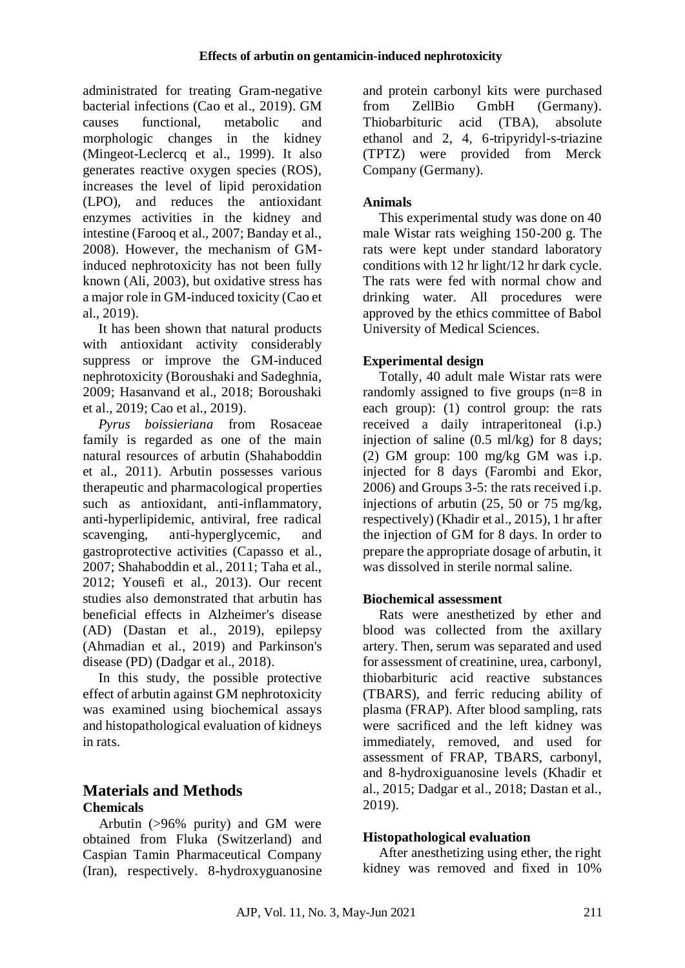administrated for treating Gram-negative bacterial infections (Cao et al., 2019). GM causes functional, metabolic and morphologic changes in the kidney (Mingeot-Leclercq et al., 1999). It also generates reactive oxygen species (ROS), increases the level of lipid peroxidation (LPO), and reduces the antioxidant enzymes activities in the kidney and intestine (Farooq et al., 2007; Banday et al., 2008). However, the mechanism of GMinduced nephrotoxicity has not been fully known (Ali, 2003), but oxidative stress has a major role in GM-induced toxicity (Cao et al., 2019).

It has been shown that natural products with antioxidant activity considerably suppress or improve the GM-induced nephrotoxicity (Boroushaki and Sadeghnia, 2009; Hasanvand et al., 2018; Boroushaki et al., 2019; Cao et al., 2019).

*Pyrus boissieriana* from Rosaceae family is regarded as one of the main natural resources of arbutin (Shahaboddin et al., 2011). Arbutin possesses various therapeutic and pharmacological properties such as antioxidant, anti-inflammatory, anti-hyperlipidemic, antiviral, free radical scavenging, anti-hyperglycemic, and gastroprotective activities (Capasso et al., 2007; Shahaboddin et al., 2011; Taha et al., 2012; Yousefi et al., 2013). Our recent studies also demonstrated that arbutin has beneficial effects in Alzheimer's disease (AD) (Dastan et al., 2019), epilepsy (Ahmadian et al., 2019) and Parkinson's disease (PD) (Dadgar et al., 2018).

In this study, the possible protective effect of arbutin against GM nephrotoxicity was examined using biochemical assays and histopathological evaluation of kidneys in rats.

## **Materials and Methods Chemicals**

Arbutin (>96% purity) and GM were obtained from Fluka (Switzerland) and Caspian Tamin Pharmaceutical Company (Iran), respectively. 8-hydroxyguanosine

and protein carbonyl kits were purchased from ZellBio GmbH (Germany). Thiobarbituric acid (TBA), absolute ethanol and 2, 4, 6-tripyridyl-s-triazine (TPTZ) were provided from Merck Company (Germany).

## **Animals**

This experimental study was done on 40 male Wistar rats weighing 150-200 g. The rats were kept under standard laboratory conditions with 12 hr light/12 hr dark cycle. The rats were fed with normal chow and drinking water. All procedures were approved by the ethics committee of Babol University of Medical Sciences.

## **Experimental design**

Totally, 40 adult male Wistar rats were randomly assigned to five groups (n=8 in each group): (1) control group: the rats received a daily intraperitoneal (i.p.) injection of saline (0.5 ml/kg) for 8 days; (2) GM group: 100 mg/kg GM was i.p. injected for 8 days (Farombi and Ekor, 2006) and Groups 3-5: the rats received i.p. injections of arbutin (25, 50 or 75 mg/kg, respectively) (Khadir et al., 2015), 1 hr after the injection of GM for 8 days. In order to prepare the appropriate dosage of arbutin, it was dissolved in sterile normal saline.

## **Biochemical assessment**

Rats were anesthetized by ether and blood was collected from the axillary artery. Then, serum was separated and used for assessment of creatinine, urea, carbonyl, thiobarbituric acid reactive substances (TBARS), and ferric reducing ability of plasma (FRAP). After blood sampling, rats were sacrificed and the left kidney was immediately, removed, and used for assessment of FRAP, TBARS, carbonyl, and 8-hydroxiguanosine levels (Khadir et al., 2015; Dadgar et al., 2018; Dastan et al., 2019).

## **Histopathological evaluation**

After anesthetizing using ether, the right kidney was removed and fixed in 10%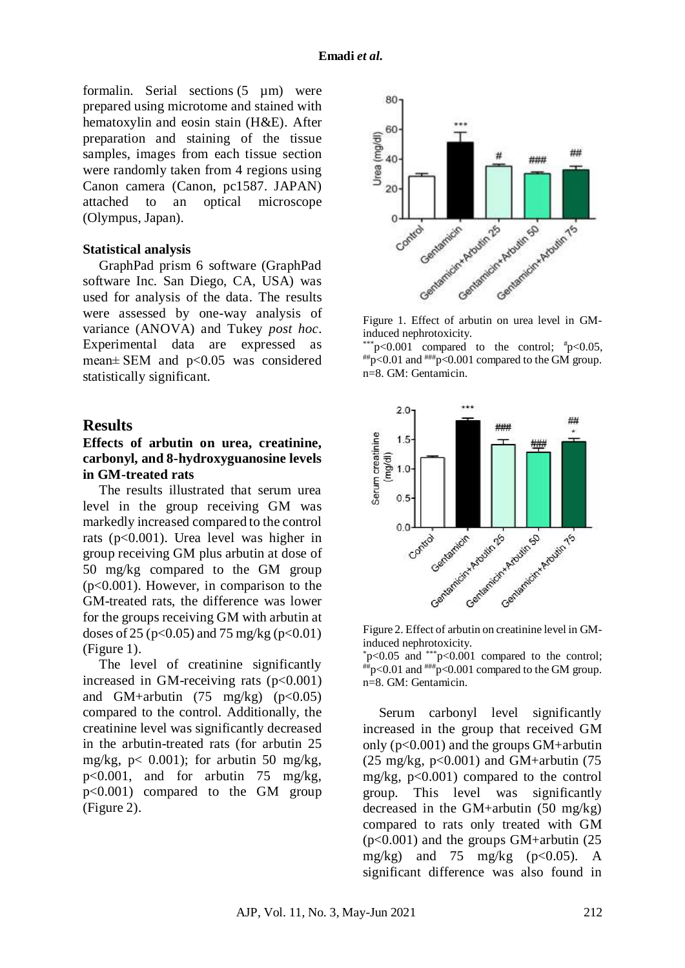formalin. Serial sections  $(5 \mu m)$  were prepared using microtome and stained with hematoxylin and eosin stain (H&E). After preparation and staining of the tissue samples, images from each tissue section were randomly taken from 4 regions using Canon camera (Canon, pc1587. JAPAN) attached to an optical microscope (Olympus, Japan).

### **Statistical analysis**

GraphPad prism 6 software (GraphPad software Inc. San Diego, CA, USA) was used for analysis of the data. The results were assessed by one-way analysis of variance (ANOVA) and Tukey *post hoc*. Experimental data are expressed as mean± SEM and p<0.05 was considered statistically significant.

### **Results**

### **Effects of arbutin on urea, creatinine, carbonyl, and 8-hydroxyguanosine levels in GM-treated rats**

The results illustrated that serum urea level in the group receiving GM was markedly increased compared to the control rats (p<0.001). Urea level was higher in group receiving GM plus arbutin at dose of 50 mg/kg compared to the GM group  $(p<0.001)$ . However, in comparison to the GM-treated rats, the difference was lower for the groups receiving GM with arbutin at doses of 25 ( $p<0.05$ ) and 75 mg/kg ( $p<0.01$ ) (Figure 1).

The level of creatinine significantly increased in GM-receiving rats  $(p<0.001)$ and GM+arbutin  $(75 \text{ mg/kg})$   $(p<0.05)$ compared to the control. Additionally, the creatinine level was significantly decreased in the arbutin-treated rats (for arbutin 25 mg/kg,  $p < 0.001$ ); for arbutin 50 mg/kg, p<0.001, and for arbutin 75 mg/kg, p<0.001) compared to the GM group (Figure 2).



Figure 1. Effect of arbutin on urea level in GMinduced nephrotoxicity.

 $*$ p<0.001 compared to the control;  $*$ p<0.05,  $^{+}$ #p <0.01 and  $^{+}$  = 0.001 compared to the GM group. n=8. GM: Gentamicin.



Figure 2. Effect of arbutin on creatinine level in GMinduced nephrotoxicity.

 $p<0.05$  and  $*^{*p}<0.001$  compared to the control;  $^{***}$ p<0.01 and  $^{***}$ p<0.001 compared to the GM group. n=8. GM: Gentamicin.

Serum carbonyl level significantly increased in the group that received GM only  $(p<0.001)$  and the groups GM+arbutin  $(25 \text{ mg/kg}, \text{p} < 0.001)$  and GM+arbutin  $(75 \text{ m})$ mg/kg,  $p<0.001$ ) compared to the control group. This level was significantly decreased in the GM+arbutin (50 mg/kg) compared to rats only treated with GM (p<0.001) and the groups GM+arbutin (25 mg/kg) and 75 mg/kg  $(p<0.05)$ . A significant difference was also found in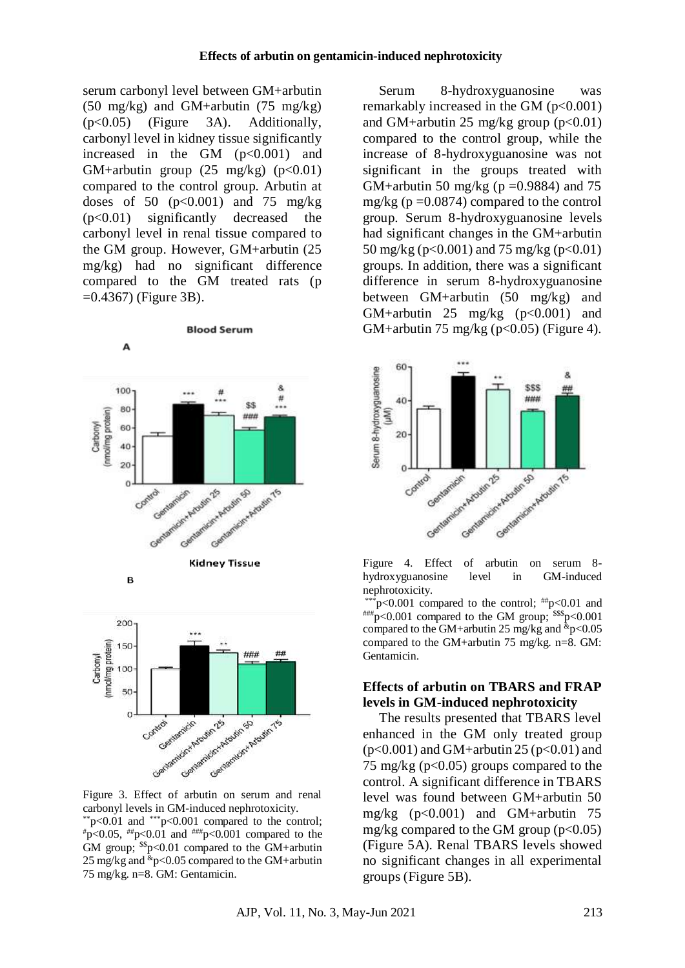serum carbonyl level between GM+arbutin (50 mg/kg) and GM+arbutin (75 mg/kg) (p<0.05) (Figure 3A). Additionally, carbonyl level in kidney tissue significantly increased in the GM  $(p<0.001)$  and GM+arbutin group  $(25 \text{ mg/kg})$   $(p<0.01)$ compared to the control group. Arbutin at doses of 50  $(p<0.001)$  and 75 mg/kg (p<0.01) significantly decreased the carbonyl level in renal tissue compared to the GM group. However, GM+arbutin (25 mg/kg) had no significant difference compared to the GM treated rats (p  $=0.4367$ ) (Figure 3B).





Figure 3. Effect of arbutin on serum and renal carbonyl levels in GM-induced nephrotoxicity. \*\*p<0.01 and \*\*\*p<0.001 compared to the control;  $*_{p<0.05, \mu_{p}<0.01}$  and  $*_{p<0.001}$  compared to the GM group;  $s_p < 0.01$  compared to the GM+arbutin 25 mg/kg and  $\text{kg}$  = 0.05 compared to the GM+arbutin 75 mg/kg. n=8. GM: Gentamicin.

Serum 8-hydroxyguanosine was remarkably increased in the GM  $(p<0.001)$ and GM+arbutin 25 mg/kg group  $(p<0.01)$ compared to the control group, while the increase of 8-hydroxyguanosine was not significant in the groups treated with GM+arbutin 50 mg/kg ( $p = 0.9884$ ) and 75 mg/kg ( $p = 0.0874$ ) compared to the control group. Serum 8-hydroxyguanosine levels had significant changes in the GM+arbutin 50 mg/kg ( $p < 0.001$ ) and 75 mg/kg ( $p < 0.01$ ) groups. In addition, there was a significant difference in serum 8-hydroxyguanosine between GM+arbutin (50 mg/kg) and GM+arbutin 25 mg/kg  $(p<0.001)$  and GM+arbutin 75 mg/kg ( $p<0.05$ ) (Figure 4).



Figure 4. Effect of arbutin on serum 8 hydroxyguanosine level in nephrotoxicity.

 $*_{p<0.001}$  compared to the control;  $^{**}_{p<0.01}$  and  $^{#H#}p<0.001$  compared to the GM group;  $^{$$p<0.001$ compared to the GM+arbutin 25 mg/kg and  $\text{kg}$ -0.05 compared to the GM+arbutin 75 mg/kg. n=8. GM: Gentamicin.

### **Effects of arbutin on TBARS and FRAP levels in GM-induced nephrotoxicity**

The results presented that TBARS level enhanced in the GM only treated group  $(p<0.001)$  and GM+arbutin 25 ( $p<0.01$ ) and 75 mg/kg ( $p<0.05$ ) groups compared to the control. A significant difference in TBARS level was found between GM+arbutin 50 mg/kg  $(p<0.001)$  and GM+arbutin 75 mg/kg compared to the GM group  $(p<0.05)$ (Figure 5A). Renal TBARS levels showed no significant changes in all experimental groups (Figure 5B).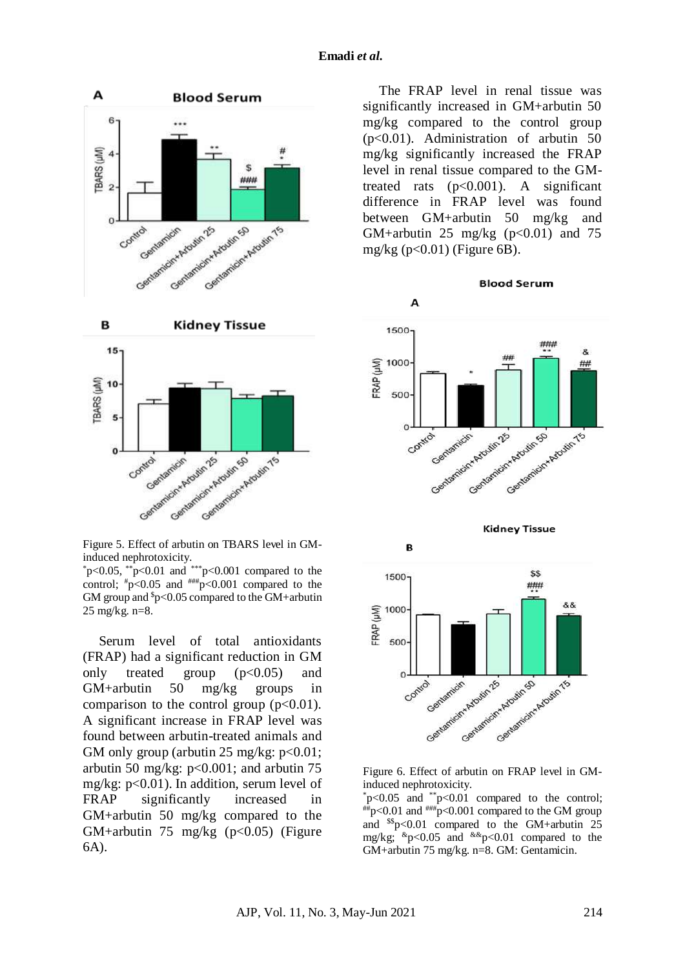

Figure 5. Effect of arbutin on TBARS level in GMinduced nephrotoxicity.

 $*p<0.05$ ,  $*p<0.01$  and  $*p<0.001$  compared to the control;  $\#p<0.05$  and  $\#mp<0.001$  compared to the GM group and  $p<0.05$  compared to the GM+arbutin 25 mg/kg. n=8.

Serum level of total antioxidants (FRAP) had a significant reduction in GM only treated group  $(p<0.05)$  and GM+arbutin 50 mg/kg groups in comparison to the control group  $(p<0.01)$ . A significant increase in FRAP level was found between arbutin-treated animals and GM only group (arbutin 25 mg/kg:  $p<0.01$ ; arbutin 50 mg/kg:  $p<0.001$ ; and arbutin 75 mg/kg: p<0.01). In addition, serum level of FRAP significantly increased in GM+arbutin 50 mg/kg compared to the GM+arbutin 75 mg/kg  $(p<0.05)$  (Figure 6A).

The FRAP level in renal tissue was significantly increased in GM+arbutin 50 mg/kg compared to the control group (p<0.01). Administration of arbutin 50 mg/kg significantly increased the FRAP level in renal tissue compared to the GMtreated rats  $(p<0.001)$ . A significant difference in FRAP level was found between GM+arbutin 50 mg/kg and GM+arbutin 25 mg/kg  $(p<0.01)$  and 75 mg/kg  $(p<0.01)$  (Figure 6B).

**Blood Serum** 







Figure 6. Effect of arbutin on FRAP level in GMinduced nephrotoxicity.

 $p<0.05$  and  $p<0.01$  compared to the control;  $^{4+}$ p<0.01 and  $^{4+4+}$ p<0.001 compared to the GM group and  $s_p < 0.01$  compared to the GM+arbutin 25 mg/kg;  $\&p<0.05$  and  $\&p<0.01$  compared to the GM+arbutin 75 mg/kg. n=8. GM: Gentamicin.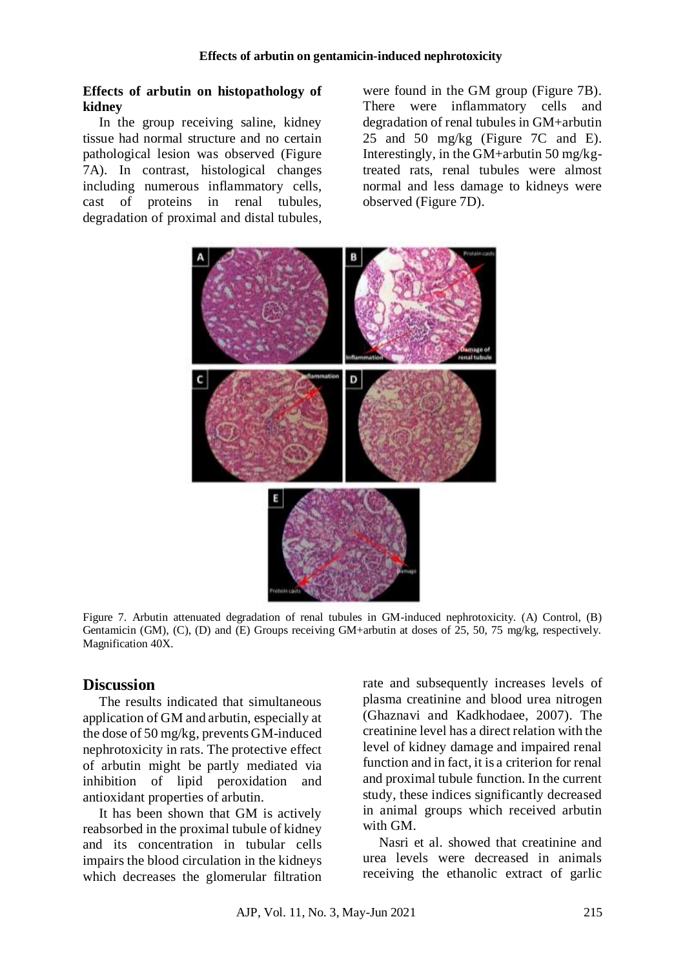### **Effects of arbutin on histopathology of kidney**

In the group receiving saline, kidney tissue had normal structure and no certain pathological lesion was observed (Figure 7A). In contrast, histological changes including numerous inflammatory cells, cast of proteins in renal tubules, degradation of proximal and distal tubules, were found in the GM group (Figure 7B). There were inflammatory cells and degradation of renal tubules in GM+arbutin 25 and 50 mg/kg (Figure 7C and E). Interestingly, in the GM+arbutin 50 mg/kgtreated rats, renal tubules were almost normal and less damage to kidneys were observed (Figure 7D).



Figure 7. Arbutin attenuated degradation of renal tubules in GM-induced nephrotoxicity. (A) Control, (B) Gentamicin (GM), (C), (D) and (E) Groups receiving GM+arbutin at doses of 25, 50, 75 mg/kg, respectively. Magnification 40X.

## **Discussion**

The results indicated that simultaneous application of GM and arbutin, especially at the dose of 50 mg/kg, prevents GM-induced nephrotoxicity in rats. The protective effect of arbutin might be partly mediated via inhibition of lipid peroxidation and antioxidant properties of arbutin.

It has been shown that GM is actively reabsorbed in the proximal tubule of kidney and its concentration in tubular cells impairs the blood circulation in the kidneys which decreases the glomerular filtration

rate and subsequently increases levels of plasma creatinine and blood urea nitrogen (Ghaznavi and Kadkhodaee, 2007). The creatinine level has a direct relation with the level of kidney damage and impaired renal function and in fact, it is a criterion for renal and proximal tubule function. In the current study, these indices significantly decreased in animal groups which received arbutin with GM.

Nasri et al. showed that creatinine and urea levels were decreased in animals receiving the ethanolic extract of garlic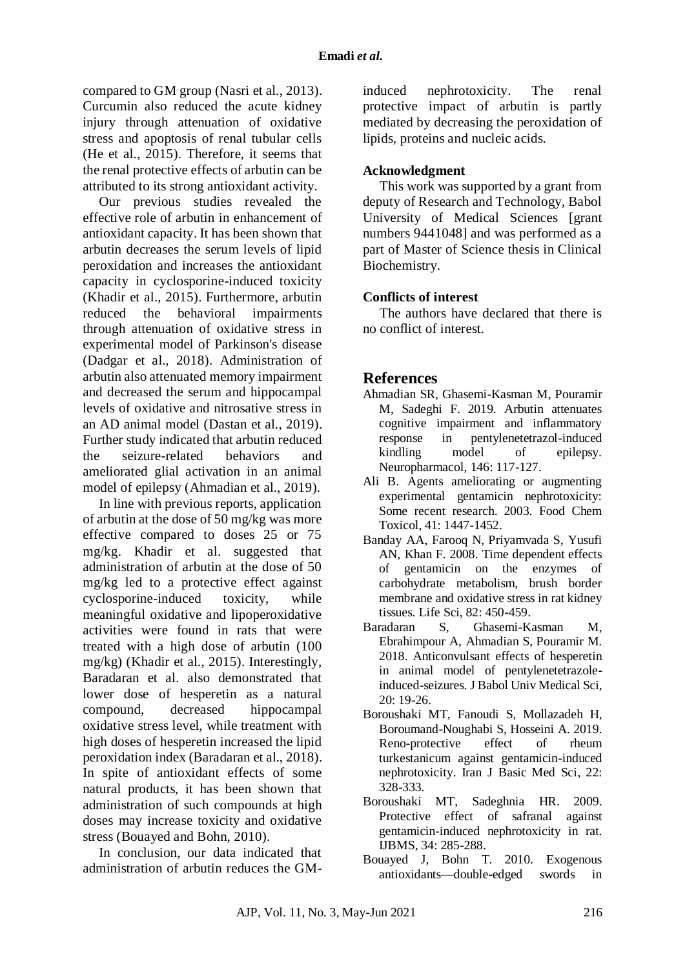compared to GM group (Nasri et al., 2013). Curcumin also reduced the acute kidney injury through attenuation of oxidative stress and apoptosis of renal tubular cells (He et al., 2015). Therefore, it seems that the renal protective effects of arbutin can be attributed to its strong antioxidant activity.

Our previous studies revealed the effective role of arbutin in enhancement of antioxidant capacity. It has been shown that arbutin decreases the serum levels of lipid peroxidation and increases the antioxidant capacity in cyclosporine-induced toxicity (Khadir et al., 2015). Furthermore, arbutin reduced the behavioral impairments through attenuation of oxidative stress in experimental model of Parkinson's disease (Dadgar et al., 2018). Administration of arbutin also attenuated memory impairment and decreased the serum and hippocampal levels of oxidative and nitrosative stress in an AD animal model (Dastan et al., 2019). Further study indicated that arbutin reduced the seizure-related behaviors and ameliorated glial activation in an animal model of epilepsy (Ahmadian et al., 2019).

In line with previous reports, application of arbutin at the dose of 50 mg/kg was more effective compared to doses 25 or 75 mg/kg. Khadir et al. suggested that administration of arbutin at the dose of 50 mg/kg led to a protective effect against cyclosporine-induced toxicity, while meaningful oxidative and lipoperoxidative activities were found in rats that were treated with a high dose of arbutin (100 mg/kg) (Khadir et al., 2015). Interestingly, Baradaran et al. also demonstrated that lower dose of hesperetin as a natural compound, decreased hippocampal oxidative stress level, while treatment with high doses of hesperetin increased the lipid peroxidation index (Baradaran et al., 2018). In spite of antioxidant effects of some natural products, it has been shown that administration of such compounds at high doses may increase toxicity and oxidative stress (Bouayed and Bohn, 2010).

In conclusion, our data indicated that administration of arbutin reduces the GM-

induced nephrotoxicity. The renal protective impact of arbutin is partly mediated by decreasing the peroxidation of lipids, proteins and nucleic acids.

### **Acknowledgment**

This work was supported by a grant from deputy of Research and Technology, Babol University of Medical Sciences [grant numbers 9441048] and was performed as a part of Master of Science thesis in Clinical Biochemistry.

### **Conflicts of interest**

The authors have declared that there is no conflict of interest.

## **References**

- Ahmadian SR, Ghasemi-Kasman M, Pouramir M, Sadeghi F. 2019. Arbutin attenuates cognitive impairment and inflammatory response in pentylenetetrazol-induced kindling model of epilepsy. Neuropharmacol, 146: 117-127.
- Ali B. Agents ameliorating or augmenting experimental gentamicin nephrotoxicity: Some recent research. 2003. Food Chem Toxicol, 41: 1447-1452.
- Banday AA, Farooq N, Priyamvada S, Yusufi AN, Khan F. 2008. Time dependent effects of gentamicin on the enzymes of carbohydrate metabolism, brush border membrane and oxidative stress in rat kidney tissues. Life Sci, 82: 450-459.
- Baradaran S, Ghasemi-Kasman M, Ebrahimpour A, Ahmadian S, Pouramir M. 2018. Anticonvulsant effects of hesperetin in animal model of pentylenetetrazoleinduced-seizures. J Babol Univ Medical Sci,  $20: 19-26.$
- Boroushaki MT, Fanoudi S, Mollazadeh H, Boroumand-Noughabi S, Hosseini A. 2019. Reno-protective effect of rheum turkestanicum against gentamicin-induced nephrotoxicity. Iran J Basic Med Sci, 22: 328-333.
- Boroushaki MT, Sadeghnia HR. 2009. Protective effect of safranal against gentamicin-induced nephrotoxicity in rat. IJBMS, 34: 285-288.
- Bouayed J, Bohn T. 2010. Exogenous antioxidants—double-edged swords in